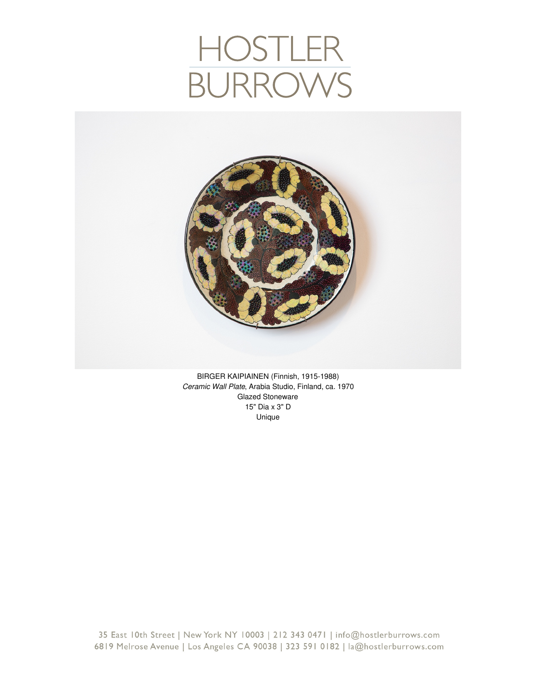## HOSTLEF<br>BURROW



BIRGER KAIPIAINEN (Finnish, 1915-1988) *Ceramic Wall Plate*, Arabia Studio, Finland, ca. 1970 Glazed Stoneware 15" Dia x 3" D Unique

35 East 10th Street | New York NY 10003 | 212 343 0471 | info@hostlerburrows.com 6819 Melrose Avenue | Los Angeles CA 90038 | 323 591 0182 | la@hostlerburrows.com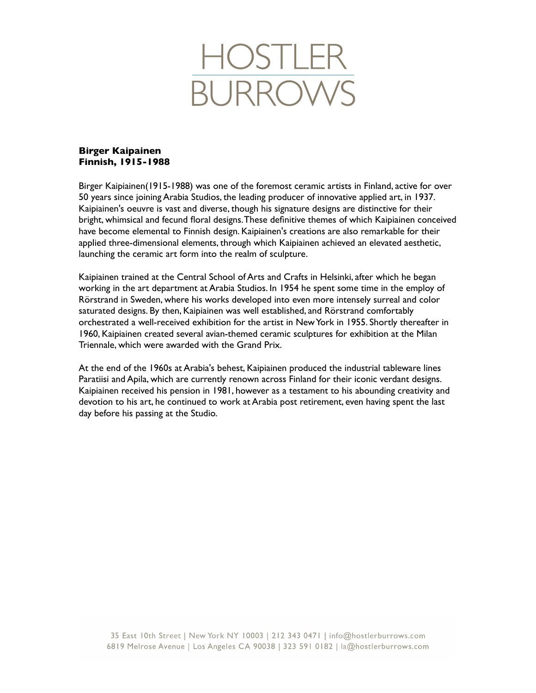

## **Birger Kaipainen Finnish, 1915-1988**

Birger Kaipiainen(1915-1988) was one of the foremost ceramic artists in Finland, active for over 50 years since joining Arabia Studios, the leading producer of innovative applied art, in 1937. Kaipiainen's oeuvre is vast and diverse, though his signature designs are distinctive for their bright, whimsical and fecund floral designs. These definitive themes of which Kaipiainen conceived have become elemental to Finnish design. Kaipiainen's creations are also remarkable for their applied three-dimensional elements, through which Kaipiainen achieved an elevated aesthetic, launching the ceramic art form into the realm of sculpture.

Kaipiainen trained at the Central School of Arts and Crafts in Helsinki, after which he began working in the art department at Arabia Studios. In 1954 he spent some time in the employ of Rörstrand in Sweden, where his works developed into even more intensely surreal and color saturated designs. By then, Kaipiainen was well established, and Rörstrand comfortably orchestrated a well-received exhibition for the artist in New York in 1955. Shortly thereafter in 1960, Kaipiainen created several avian-themed ceramic sculptures for exhibition at the Milan Triennale, which were awarded with the Grand Prix.

At the end of the 1960s at Arabia's behest, Kaipiainen produced the industrial tableware lines Paratiisi and Apila, which are currently renown across Finland for their iconic verdant designs. Kaipiainen received his pension in 1981, however as a testament to his abounding creativity and devotion to his art, he continued to work at Arabia post retirement, even having spent the last day before his passing at the Studio.